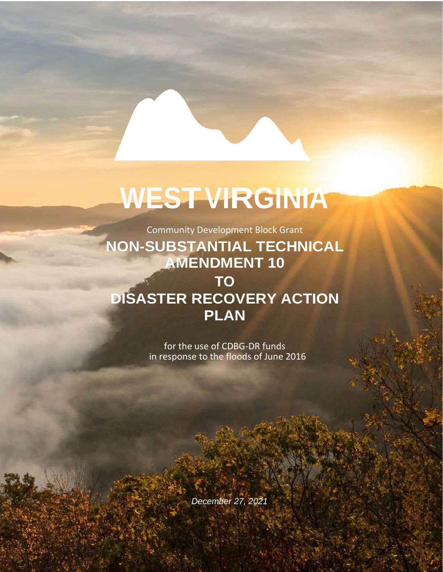## **WESTVIRGINIA**

Community Development Block Grant

**NON-SUBSTANTIAL TECHNICAL AMENDMENT 10 TO DISASTER RECOVERY ACTION PLAN**

> for the use of CDBG-DR funds in response to the floods of June 2016

> > *December 27, 2021*

1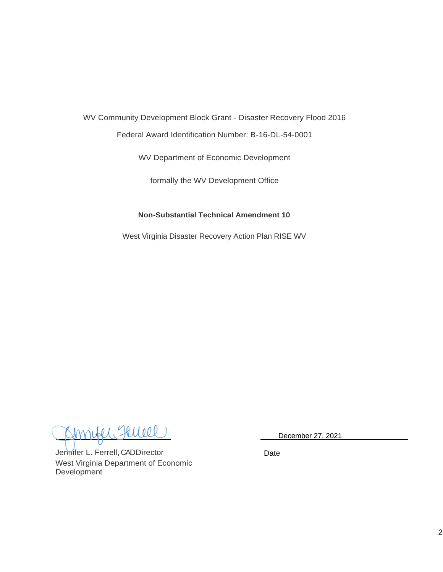WV Community Development Block Grant - Disaster Recovery Flood 2016

Federal Award Identification Number: B-16-DL-54-0001

WV Department of Economic Development

formally the WV Development Office

## **Non-Substantial Technical Amendment 10**

West Virginia Disaster Recovery Action Plan RISE WV

December 27, 2021

Jennifer L. Ferrell, CAD Director West Virginia Department of Economic Development

Date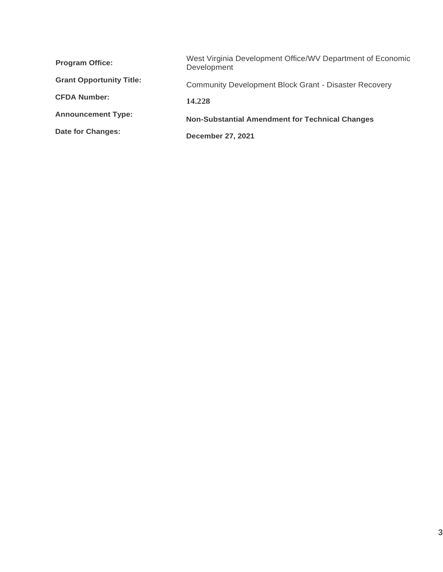| <b>Program Office:</b>          | West Virginia Development Office/WV Department of Economic<br>Development |  |  |
|---------------------------------|---------------------------------------------------------------------------|--|--|
| <b>Grant Opportunity Title:</b> | <b>Community Development Block Grant - Disaster Recovery</b>              |  |  |
| <b>CFDA Number:</b>             | 14.228                                                                    |  |  |
| <b>Announcement Type:</b>       | <b>Non-Substantial Amendment for Technical Changes</b>                    |  |  |
| Date for Changes:               | <b>December 27, 2021</b>                                                  |  |  |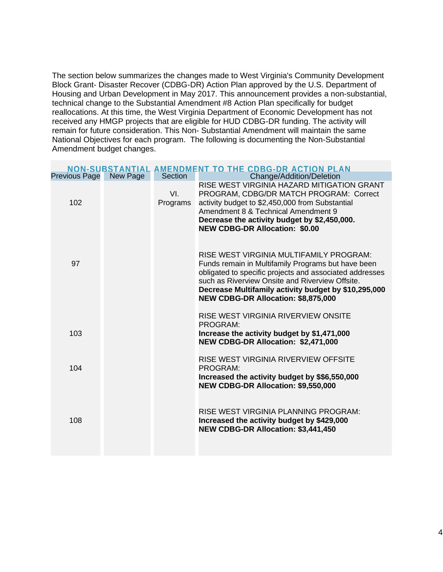The section below summarizes the changes made to West Virginia's Community Development Block Grant- Disaster Recover (CDBG-DR) Action Plan approved by the U.S. Department of Housing and Urban Development in May 2017. This announcement provides a non-substantial, technical change to the Substantial Amendment #8 Action Plan specifically for budget reallocations. At this time, the West Virginia Department of Economic Development has not received any HMGP projects that are eligible for HUD CDBG-DR funding. The activity will remain for future consideration. This Non- Substantial Amendment will maintain the same National Objectives for each program. The following is documenting the Non-Substantial Amendment budget changes.

| NON-SUBSTANTIAL AMENDMENT TO THE CDBG-DR ACTION PLAN |          |                 |                                                                                                                                                                                                                                                                                                            |  |  |  |
|------------------------------------------------------|----------|-----------------|------------------------------------------------------------------------------------------------------------------------------------------------------------------------------------------------------------------------------------------------------------------------------------------------------------|--|--|--|
| <b>Previous Page</b>                                 | New Page | Section         | Change/Addition/Deletion                                                                                                                                                                                                                                                                                   |  |  |  |
| 102                                                  |          | VI.<br>Programs | RISE WEST VIRGINIA HAZARD MITIGATION GRANT<br>PROGRAM, CDBG/DR MATCH PROGRAM: Correct<br>activity budget to \$2,450,000 from Substantial<br>Amendment 8 & Technical Amendment 9<br>Decrease the activity budget by \$2,450,000.<br><b>NEW CDBG-DR Allocation: \$0.00</b>                                   |  |  |  |
| 97                                                   |          |                 | RISE WEST VIRGINIA MULTIFAMILY PROGRAM:<br>Funds remain in Multifamily Programs but have been<br>obligated to specific projects and associated addresses<br>such as Riverview Onsite and Riverview Offsite.<br>Decrease Multifamily activity budget by \$10,295,000<br>NEW CDBG-DR Allocation: \$8,875,000 |  |  |  |
| 103                                                  |          |                 | RISE WEST VIRGINIA RIVERVIEW ONSITE<br>PROGRAM:<br>Increase the activity budget by \$1,471,000<br>NEW CDBG-DR Allocation: \$2,471,000                                                                                                                                                                      |  |  |  |
| 104                                                  |          |                 | RISE WEST VIRGINIA RIVERVIEW OFFSITE<br>PROGRAM:<br>Increased the activity budget by \$\$6,550,000<br>NEW CDBG-DR Allocation: \$9,550,000                                                                                                                                                                  |  |  |  |
| 108                                                  |          |                 | RISE WEST VIRGINIA PLANNING PROGRAM:<br>Increased the activity budget by \$429,000<br>NEW CDBG-DR Allocation: \$3,441,450                                                                                                                                                                                  |  |  |  |